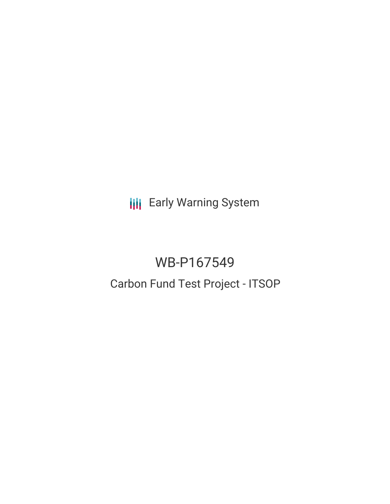**III** Early Warning System

# WB-P167549 Carbon Fund Test Project - ITSOP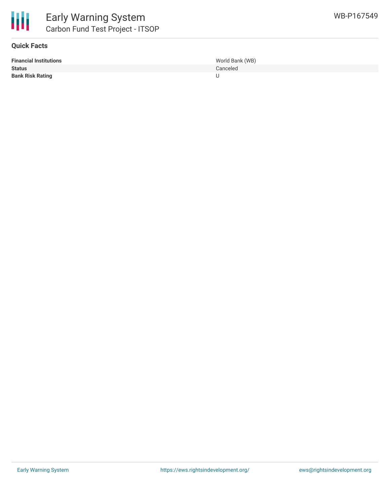

## **Quick Facts**

| <b>Financial Institutions</b> | World Bank (WB) |
|-------------------------------|-----------------|
| <b>Status</b>                 | Canceled        |
| <b>Bank Risk Rating</b>       |                 |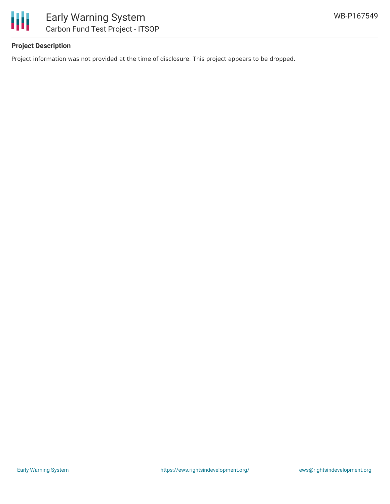

# **Project Description**

Project information was not provided at the time of disclosure. This project appears to be dropped.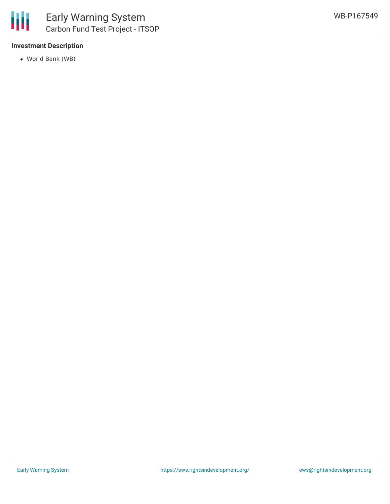

## **Investment Description**

World Bank (WB)